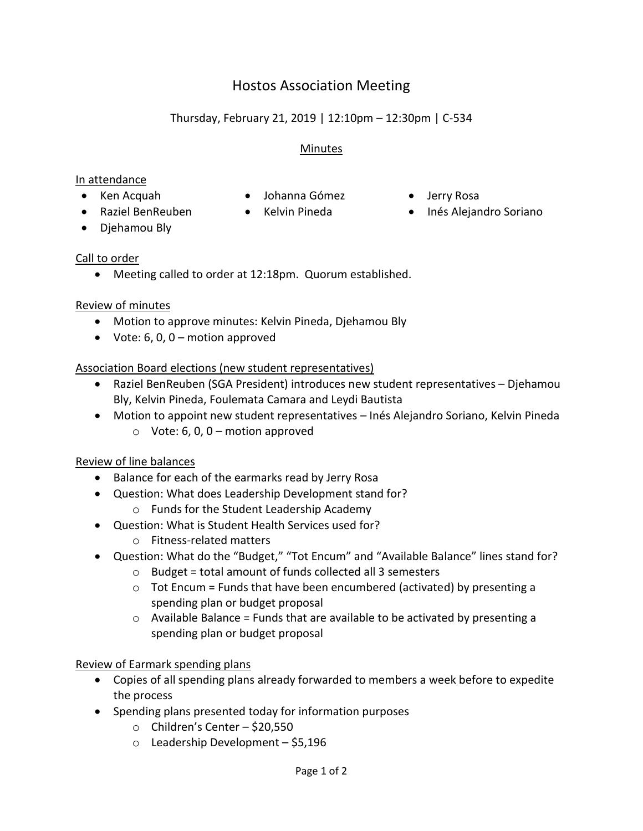# Hostos Association Meeting

## Thursday, February 21, 2019 | 12:10pm – 12:30pm | C-534

## Minutes

### In attendance

- 
- Ken Acquah Johanna Gómez Jerry Rosa
- 
- Raziel BenReuben Kelvin Pineda Inés Alejandro Soriano
- Djehamou Bly

## Call to order

Meeting called to order at 12:18pm. Quorum established.

## Review of minutes

- Motion to approve minutes: Kelvin Pineda, Djehamou Bly
- Vote:  $6, 0, 0$  motion approved

## Association Board elections (new student representatives)

- Raziel BenReuben (SGA President) introduces new student representatives Djehamou Bly, Kelvin Pineda, Foulemata Camara and Leydi Bautista
- Motion to appoint new student representatives Inés Alejandro Soriano, Kelvin Pineda  $\circ$  Vote: 6, 0, 0 – motion approved

## Review of line balances

- Balance for each of the earmarks read by Jerry Rosa
- Question: What does Leadership Development stand for?
	- o Funds for the Student Leadership Academy
- Question: What is Student Health Services used for?
	- o Fitness-related matters
- Question: What do the "Budget," "Tot Encum" and "Available Balance" lines stand for?
	- $\circ$  Budget = total amount of funds collected all 3 semesters
	- $\circ$  Tot Encum = Funds that have been encumbered (activated) by presenting a spending plan or budget proposal
	- $\circ$  Available Balance = Funds that are available to be activated by presenting a spending plan or budget proposal

#### Review of Earmark spending plans

- Copies of all spending plans already forwarded to members a week before to expedite the process
- Spending plans presented today for information purposes
	- o Children's Center \$20,550
	- $\circ$  Leadership Development \$5,196